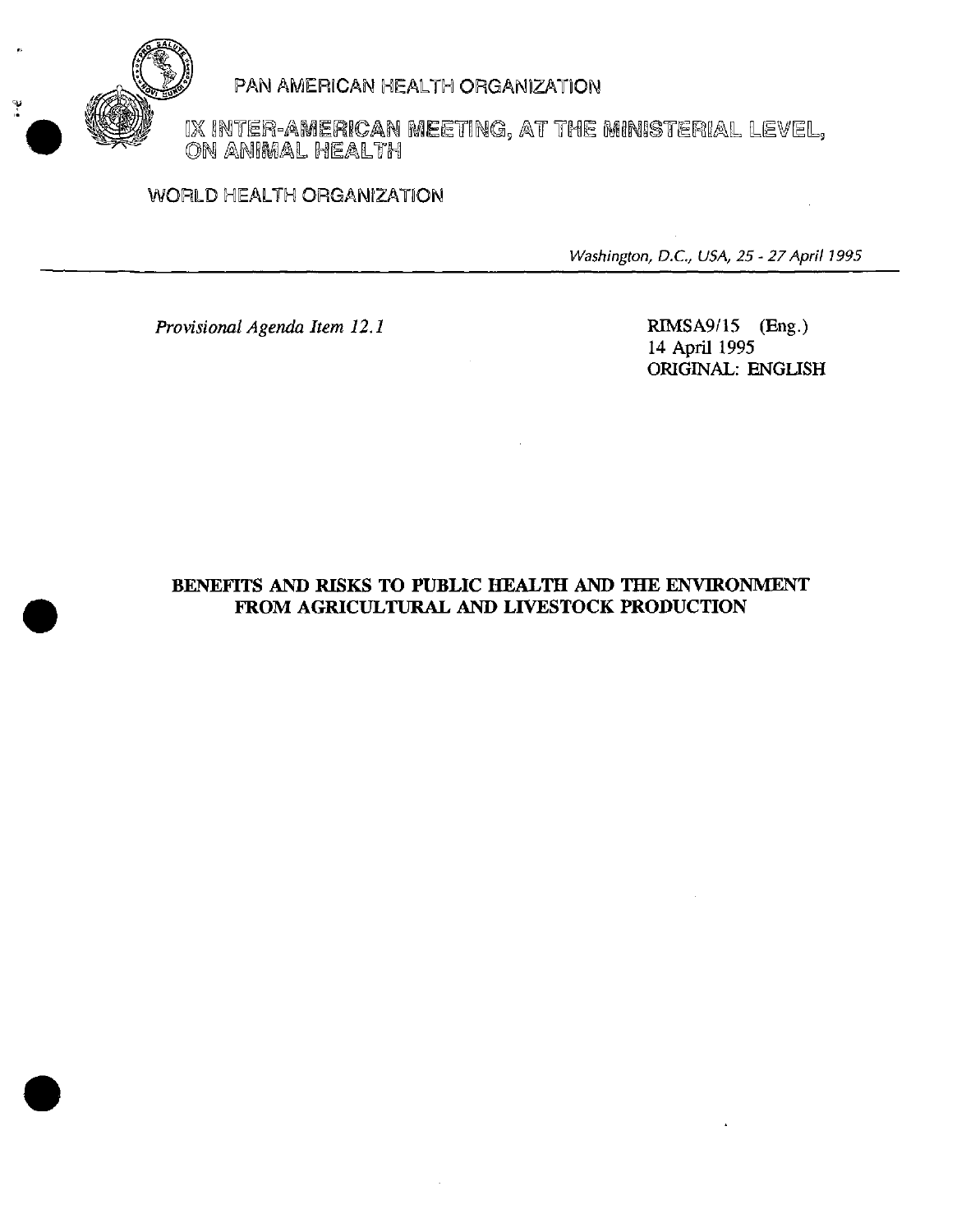

# PAN AMERICAN HEALTH ORGANIZATION

IX INTER-A**MERICAN MEE**TING, AT THE MINISTERIAL LEVEL,<br>ON ANIMAL HEALTH

## WORLD HEALTH ORGANIZATION

Washington, D.C., USA, 25 - 27April 1995

*Provisional Agenda Item 12.1* RIMSA9/15 (Eng.)

14 April 1995 ORIGINAL: ENGLISH

## **BENEFITS** AND RISKS TO **PUBLIC HEALTH AND THE** ENVIRONMENT FROM AGRICULTURAL AND LIVESTOCK PRODUCTION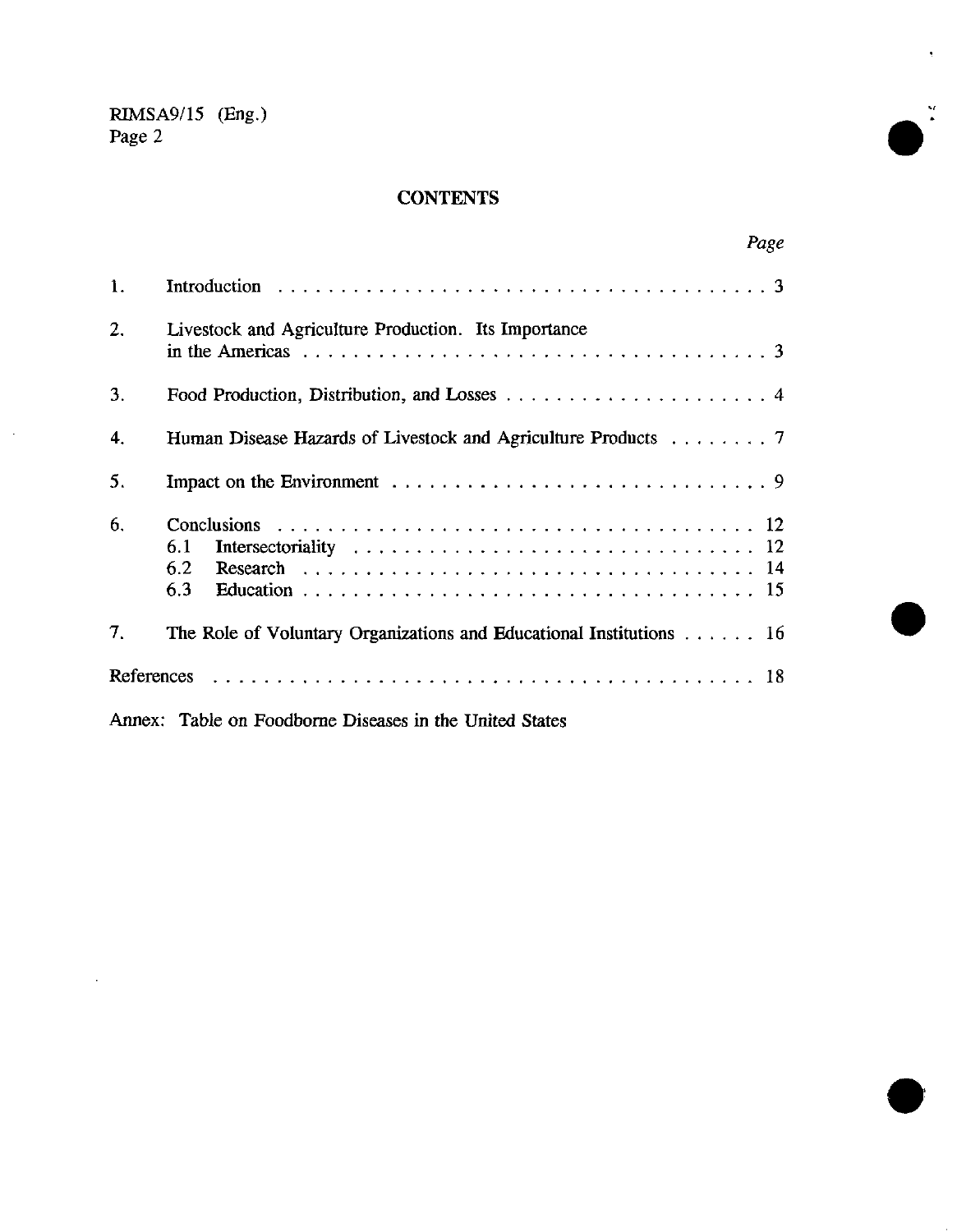$\bar{z}$ 

 $\mathcal{L}_{\mathcal{A}}$ 

# **CONTENTS**

|    |                                                                                   | Page |
|----|-----------------------------------------------------------------------------------|------|
| 1. |                                                                                   |      |
| 2. | Livestock and Agriculture Production. Its Importance                              |      |
| 3. |                                                                                   |      |
| 4. | Human Disease Hazards of Livestock and Agriculture Products $\dots \dots \dots$   |      |
| 5. |                                                                                   |      |
| 6. | 6.1<br>6.2<br>6.3                                                                 |      |
| 7. | The Role of Voluntary Organizations and Educational Institutions $\dots \dots$ 16 |      |
|    |                                                                                   |      |
|    | Annex: Table on Foodborne Diseases in the United States                           |      |



**e**

\*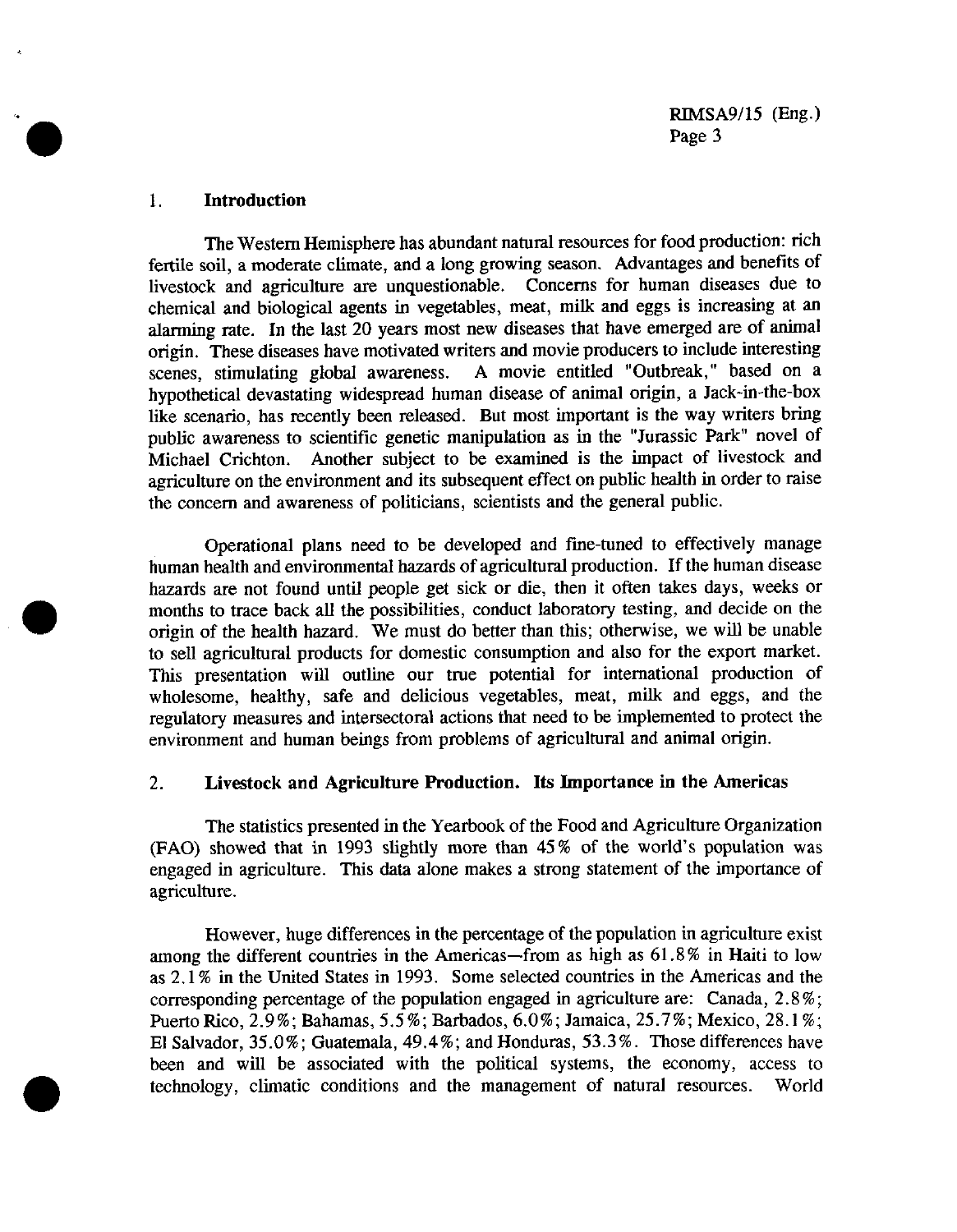#### **1. Introduction**

The Western Hemisphere has abundant natural resources for food production: rich fertile soil, a moderate climate, and a long growing season. Advantages and benefits of livestock and agriculture are unquestionable. Concerns for human diseases due to chemical and biological agents in vegetables, meat, milk and eggs is increasing at an alarming rate. In the last 20 years most new diseases that have emerged are of animal origin. These diseases have motivated writers and movie producers to include interesting scenes, stimulating global awareness. A movie entitled "Outbreak," based on a hypothetical devastating widespread human disease of animal origin, a Jack-in-the-box like scenario, has recently been released. But most important is the way writers bring public awareness to scientific genetic manipulation as in the "Jurassic Park" novel of Michael Crichton. Another subject to be examined is the impact of livestock and agriculture on the environment and its subsequent effect on public health in order to raise the concern and awareness of politicians, scientists and the general public.

Operational plans need to be developed and fine-tuned to effectively manage human health and environmental hazards of agricultural production. If the human disease hazards are not found until people get sick or die, then it often takes days, weeks or months to trace back all the possibilities, conduct laboratory testing, and decide on the origin of the health hazard. We must do better than this; otherwise, we will be unable to sell agricultural products for domestic consumption and also for the export market. This presentation will outline our true potential for international production of wholesome, healthy, safe and delicious vegetables, meat, milk and eggs, and the regulatory measures and intersectoral actions that need to be implemented to protect the environment and human beings from problems of agricultural and animal origin.

### 2. **Livestock and Agriculture Production. Its Imnportance in the Americas**

The statistics presented in the Yearbook of the Food and Agriculture Organization (FAO) showed that in 1993 slightly more than 45% of the world's population was engaged in agriculture. This data alone makes a strong statement of the importance of agriculture.

However, huge differences in the percentage of the population in agriculture exist among the different countries in the Americas-from as high as 61.8% in Haiti to low as 2.1% in the United States in 1993. Some selected countries in the Americas and the corresponding percentage of the population engaged in agriculture are: Canada, 2.8 %; Puerto Rico, 2.9%; Bahamas, 5.5 %; Barbados, 6.0%; Jamaica, 25.7%; Mexico, 28.1 %; El Salvador, 35.0%; Guatemala, 49.4%; and Honduras, 53.3%. Those differences have been and will be associated with the political systems, the economy, access to technology, climatic conditions and the management of natural resources. World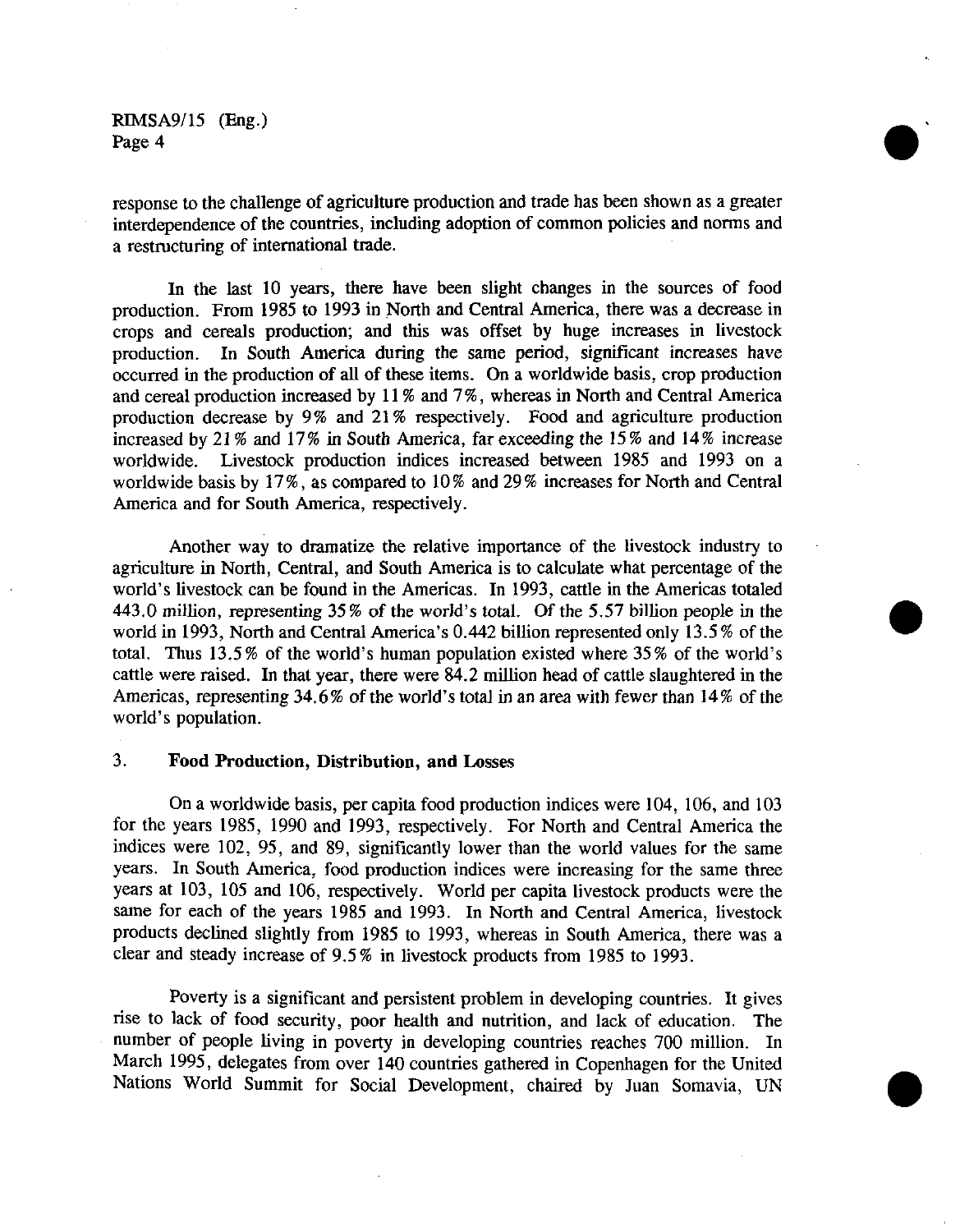response to the challenge of agriculture production and trade has been shown as a greater interdependence of the countries, including adoption of common policies and norms and a restructuring of international trade.

In the last 10 years, there have been slight changes in the sources of food production. From 1985 to 1993 in North and Central America, there was a decrease in crops and cereals production; and this was offset by huge increases in livestock production. In South America during the same period, significant increases have occurred in the production of all of these items. On a worldwide basis, crop production and cereal production increased by 11 % and 7 %, whereas in North and Central America production decrease by 9% and 21% respectively. Food and agriculture production increased by 21% and 17% in South America, far exceeding the 15% and 14 % increase worldwide. Livestock production indices increased between 1985 and 1993 on a worldwide basis by 17%, as compared to 10% and 29% increases for North and Central America and for South America, respectively.

Another way to dramatize the relative importance of the livestock industry to agriculture in North, Central, and South America is to calculate what percentage of the world's livestock can be found in the Americas. In 1993, cattle in the Americas totaled 443.0 *million,* representing 35% of the world's total. Of the 5.57 billion people in the world in 1993, North and Central America's 0.442 billion represented only 13.5 % of the total. Thus 13.5 % of the world's human population existed where 35 % of the world's cattle were raised. In that year, there were 84.2 million head of cattle slaughtered in the Americas, representing 34.6 % of the world's total in an area with fewer than 14 % of the world's population.

#### 3. **Food Production, Distribution, and Losses**

On a worldwide basis, per capita food production indices were 104, 106, and 103 for the years 1985, 1990 and 1993, respectively. For North and Central America the indices were 102, 95, and 89, significantly lower than the world values for the same years. In South America, food production indices were increasing for the same three years at 103, 105 and 106, respectively. World per capita livestock products were the same for each of the years 1985 and 1993. In North and Central America, livestock products declined slightly from 1985 to 1993, whereas in South America, there was a clear and steady increase of 9.5 % in livestock products from 1985 to 1993.

Poverty is a significant and persistent problem in developing countries. It gives rise to lack of food security, poor health and nutrition, and lack of education. The number of people living in poverty in developing countries reaches 700 million. In March 1995, delegates from over 140 countries gathered in Copenhagen for the United Nations World Summit for Social Development, chaired by Juan Somavia, UN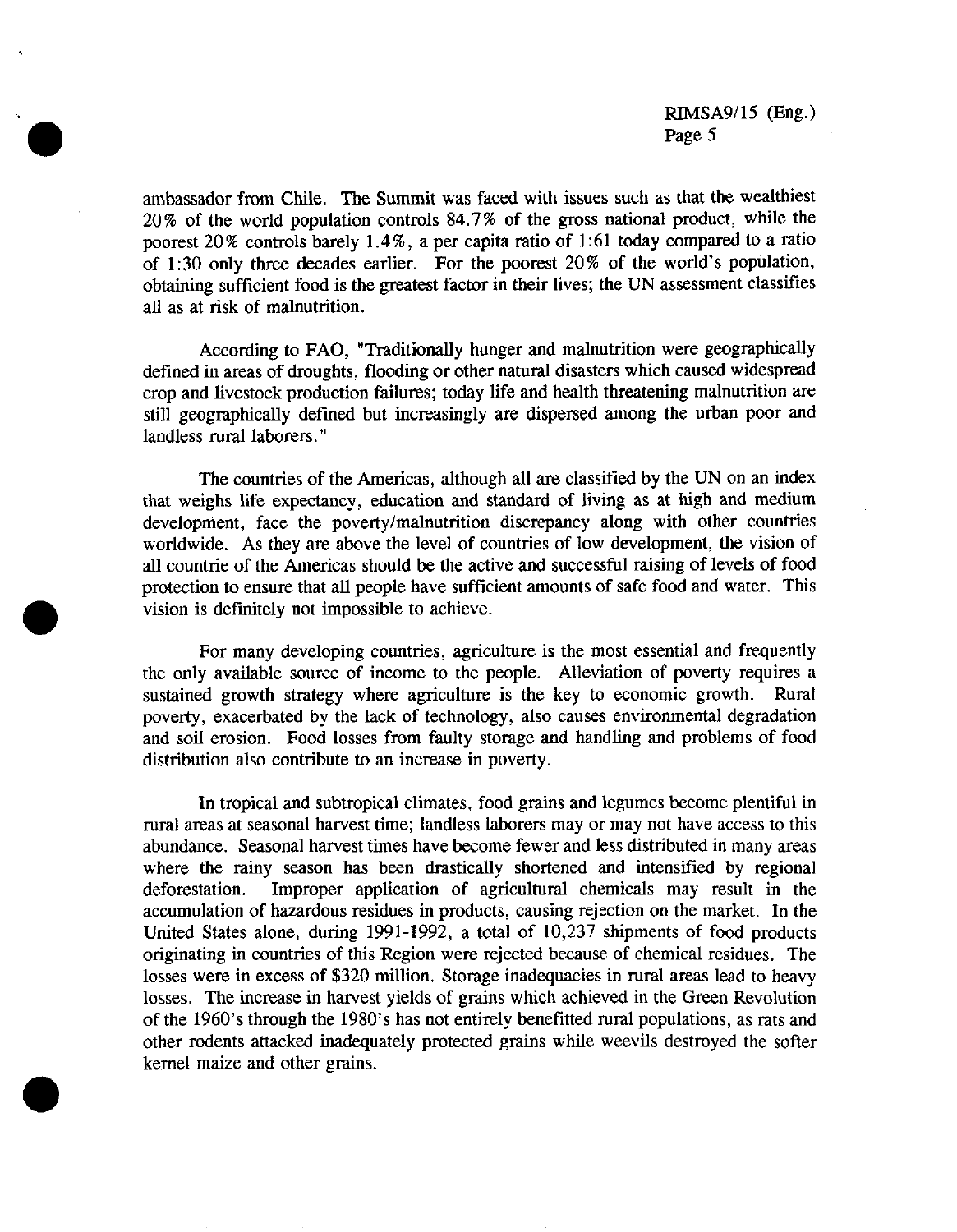ambassador from Chile. The Summit was faced with issues such as that the wealthiest 20% of the world population controls 84.7% of the gross national product, while the poorest 20% controls barely 1.4%, a per capita ratio of 1:61 today compared to a ratio of 1:30 only three decades earlier. For the poorest 20% of the world's population, obtaining sufficient food is the greatest factor in their lives; the UN assessment classifies all as at risk of malnutrition.

According to FAO, "Traditionally hunger and malnutrition were geographically defined in areas of droughts, flooding or other natural disasters which caused widespread crop and livestock production failures; today life and health threatening malnutrition are still geographically defined but increasingly are dispersed among the urban poor and landless rural laborers."

The countries of the Americas, although all are classified by the UN on an index that weighs life expectancy, education and standard of living as at high and medium development, face the poverty/malnutrition discrepancy along with other countries worldwide. As they are above the level of countries of low development, the vision of all countrie of the Americas should be the active and successful raising of levels of food protection to ensure that all people have sufficient amounts of safe food and water. This vision is definitely not impossible to achieve.

For many developing countries, agriculture is the most essential and frequently the only available source of income to the people. Alleviation of poverty requires a sustained growth strategy where agriculture is the key to economic growth. Rural poverty, exacerbated by the lack of technology, also causes environmental degradation and soil erosion. Food losses from faulty storage and handling and problems of food distribution also contribute to an increase in poverty.

In tropical and subtropical climates, food grains and legumes become plentiful in rural areas at seasonal harvest time; landless laborers may or may not have access to this abundance. Seasonal harvest times have become fewer and less distributed in many areas where the rainy season has been drastically shortened and intensified by regional deforestation. Improper application of agricultural chemicals may result in the accumulation of hazardous residues in products, causing rejection on the market. In the United States alone, during 1991-1992, a total of 10,237 shipments of food products originating in countries of this Region were rejected because of chemical residues. The losses were in excess of \$320 million. Storage inadequacies in rural areas lead to heavy losses. The increase in harvest yields of grains which achieved in the Green Revolution of the 1960's through the 1980's has not entirely benefitted rural populations, as rats and other rodents attacked inadequately protected grains while weevils destroyed the softer kernel maize and other grains.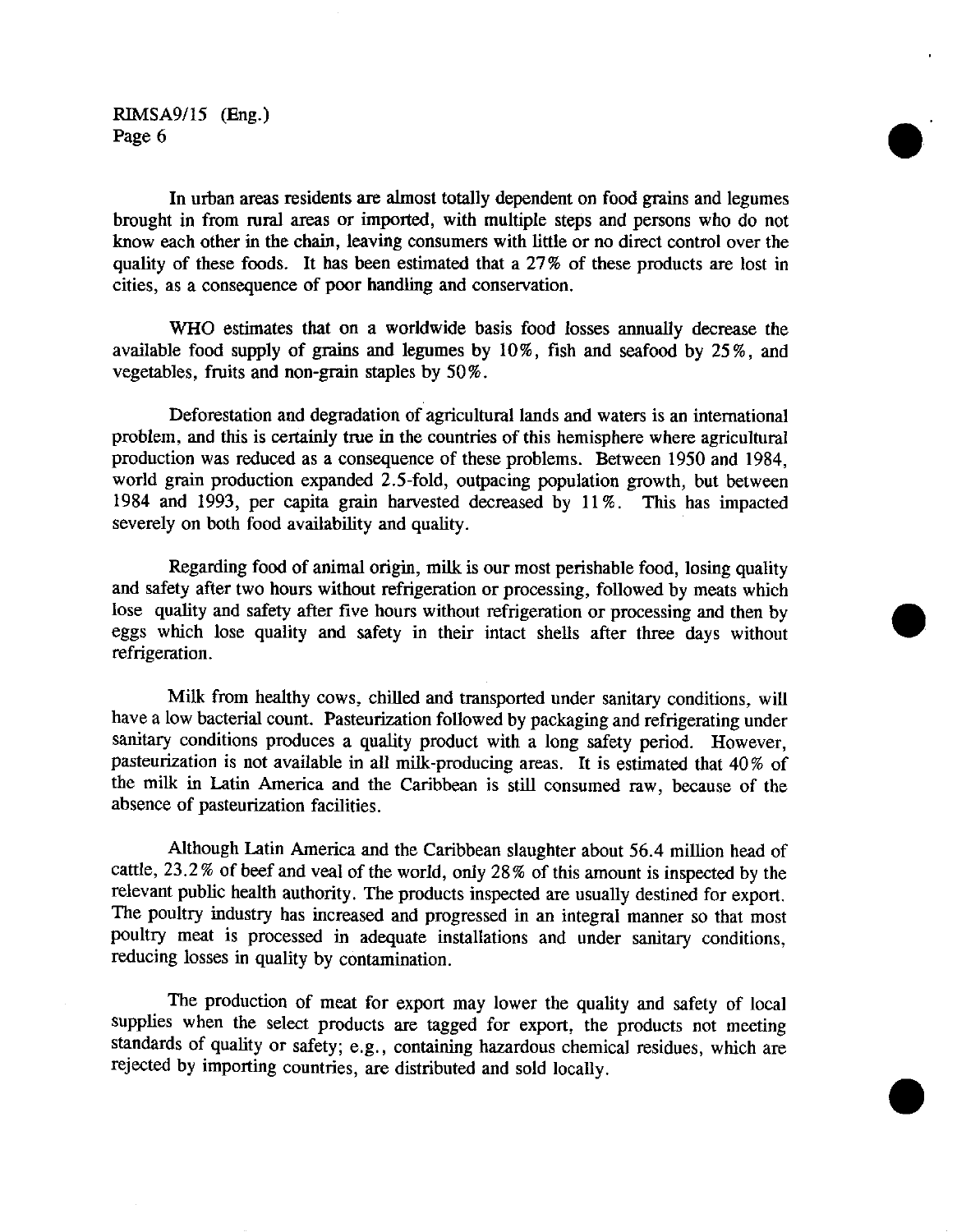In urban areas residents are almost totally dependent on food grains and legumes brought in from rural areas or imported, with multiple steps and persons who do not know each other in the chain, leaving consumers with little or no direct control over the quality of these foods. It has been estimated that a 27% of these products are lost in cities, as a consequence of poor handling and conservation.

WHO estimates that on a worldwide basis food losses annually decrease the available food supply of grains and legumes by 10%, fish and seafood by 25%, and vegetables, fruits and non-grain staples by 50%.

Deforestation and degradation of agricultural lands and waters is an international problem, and this is certainly true in the countries of this hemisphere where agricultural production was reduced as a consequence of these problems. Between 1950 and 1984, world grain production expanded 2.5-fold, outpacing population growth, but between 1984 and 1993, per capita grain harvested decreased by 11%. This has impacted severely on both food availability and quality.

Regarding food of animal origin, milk is our most perishable food, losing quality and safety after two hours without refrigeration or processing, followed by meats which lose quality and safety after five hours without refrigeration or processing and then by eggs which lose quality and safety in their intact shells after three days without refrigeration.

Milk from healthy cows, chilled and transported under sanitary conditions, will have a low bacterial count. Pasteurization followed by packaging and refrigerating under sanitary conditions produces a quality product with a long safety period. However, pasteurization is not available in all milk-producing areas. It is estimated that 40% of the milk in Latin America and the Caribbean is still consumed raw, because of the absence of pasteurization facilities.

Although Latin America and the Caribbean slaughter about 56.4 million head of cattle, 23.2% of beef and veal of the world, only 28% of this amount is inspected by the relevant public health authority. The products inspected are usually destined for export. The poultry industry has increased and progressed in an integral manner so that most poultry meat is processed in adequate installations and under sanitary conditions, reducing losses in quality by contamination.

The production of meat for export may lower the quality and safety of local supplies when the select products are tagged for export, the products not meeting standards of quality or safety; e.g., containing hazardous chemical residues, which are rejected by importing countries, are distributed and sold locally.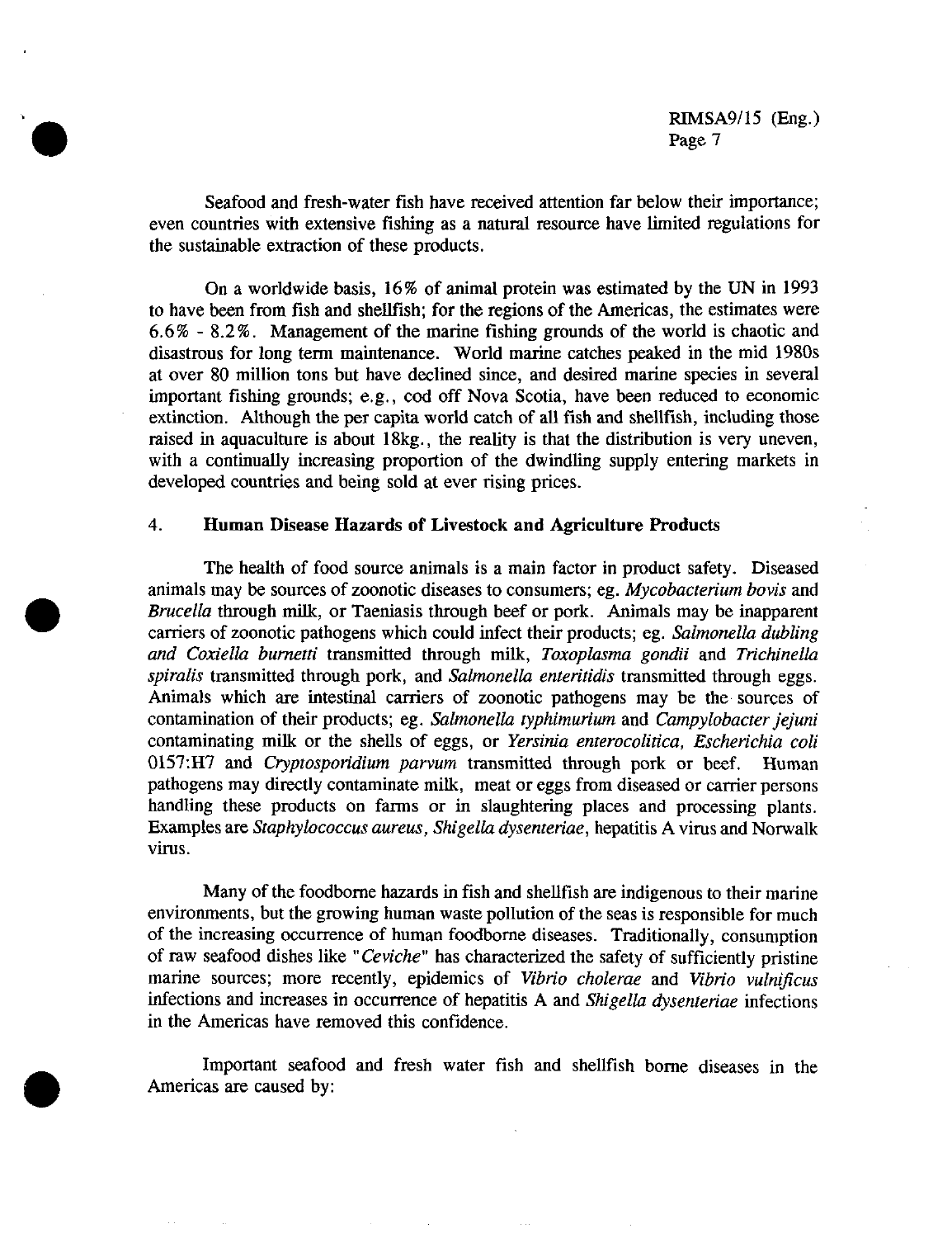Seafood and fresh-water fish have received attention far below their importance; even countries with extensive fishing as a natural resource have limited regulations for the sustainable extraction of these products.

On a worldwide basis, 16% of animal protein was estimated by the UN in 1993 to have been from fish and shellfish; for the regions of the Americas, the estimates were 6.6% - 8.2%. Management of the marine fishing grounds of the world is chaotic and disastrous for long term maintenance. World marine catches peaked in the mid 1980s at over 80 million tons but have declined since, and desired marine species in several important fishing grounds; e.g., cod off Nova Scotia, have been reduced to economic extinction. Although the per capita world catch of all fish and shellfish, including those raised in aquaculture is about 18kg., the reality is that the distribution is very uneven, with a continually increasing proportion of the dwindling supply entering markets in developed countries and being sold at ever rising prices.

#### 4. **Human Disease Hazards of Livestock and Agriculture Products**

The health of food source animals is a main factor in product safety. Diseased animals may be sources of zoonotic diseases to consumers; eg. *Mycobacterium bovis* and *Brucella* through milk, or Taeniasis through beef or pork. Animals may be inapparent carriers of zoonotic pathogens which could infect their products; eg. *Salmonella dubling and Coxiella burnetti* transmitted through milk, *Toxoplasma gondii* and *Trichinella spiralis* transmitted through pork, and *Salmonella enteritidis* transmitted through eggs. Animals which are intestinal carriers of zoonotic pathogens may be the sources of contamination of their products; eg. *Salmonella typhimurium* and *Campylobacter jejuni* contaminating milk or the shells of eggs, or *Yersinia enterocolitica, Escherichia coli* 0157:H7 and *Cryptosporidium parvum* transmitted through pork or beef. Human pathogens may directly contaminate milk, meat or eggs from diseased or carrier persons handling these products on farms or in slaughtering places and processing plants. Examples are *Staphylococcus aureus, Shigella dysenteriae,* hepatitis A virus and Norwalk virus.

Many of the foodborne hazards in fish and shellfish are indigenous to their marine environments, but the growing human waste pollution of the seas is responsible for much of the increasing occurrence of human foodborne diseases. Traditionally, consumption of raw seafood dishes like *"Ceviche"* has characterized the safety of sufficiently pristine marine sources; more recently, epidemics of *Vibrio cholerae* and *Vibrio vulnificus* infections and increases in occurrence of hepatitis A and *Shigella dysenteriae* infections in the Americas have removed this confidence.

Important seafood and fresh water fish and shellfish borne diseases in the Americas are caused by: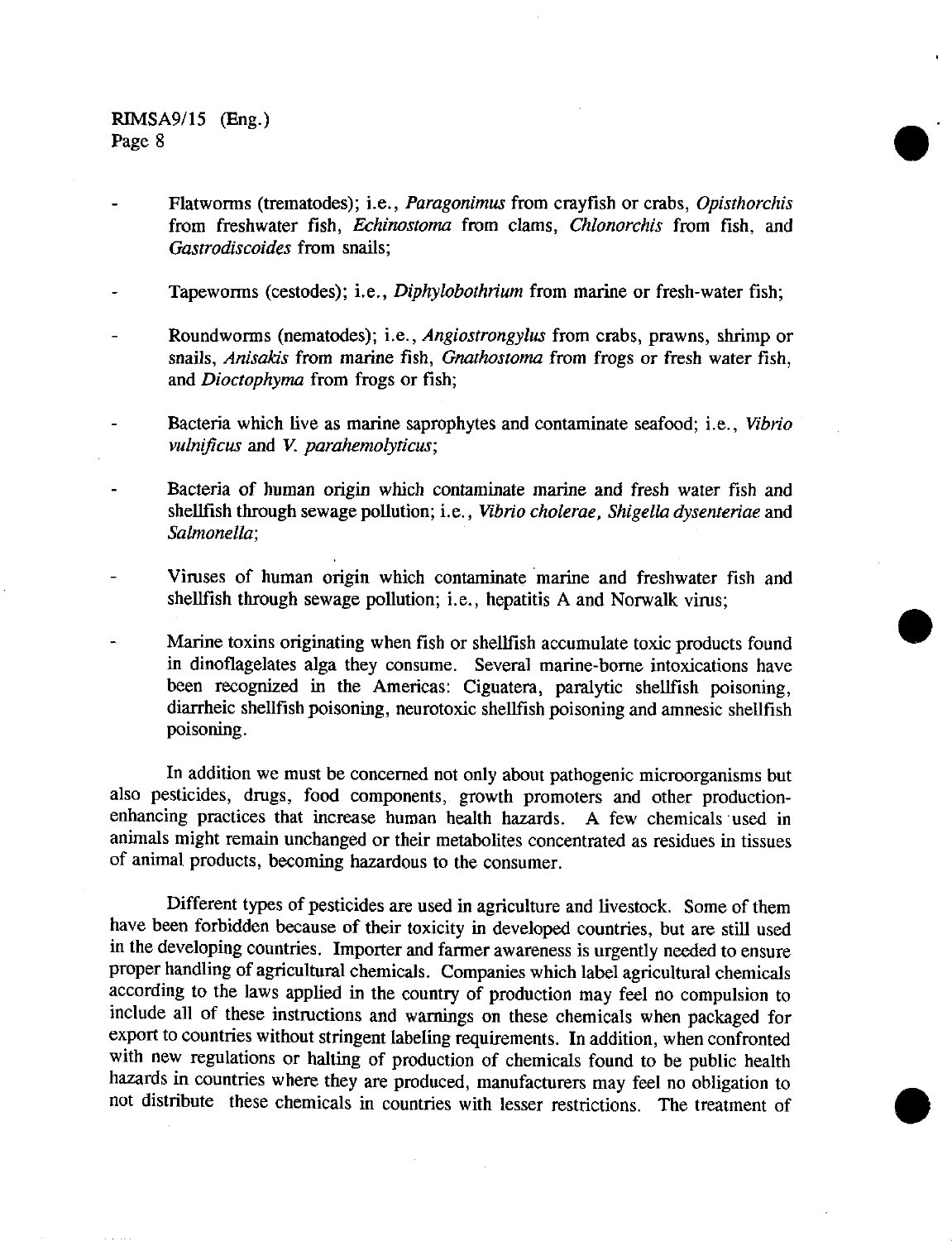Flatworms (trematodes); i.e., *Paragonimus* from crayfish or crabs, *Opisthorchis* from freshwater fish, *Echinostoma* from clams, *Chlonorchis* from fish, and *Gastrodiscoides* from snails;

Tapeworms (cestodes); i.e., *Diphylobothrium* from marine or fresh-water fish;

Roundworms (nematodes); i.e., *Angiostrongylus* from crabs, prawns, shrimp or snails, *Anisakis* from marine fish, *Gnathostoma from* frogs or fresh water fish, and *Dioctophyma* from frogs or fish;

Bacteria which live as marine saprophytes and contaminate seafood; i.e., *Vibrio vulnificus* and V. *parahemolyticus;*

Bacteria of human origin which contaminate marine and fresh water fish and shellfish through sewage pollution; i.e., *Vibrio cholerae, Shigella dysenteriae* and *Salmonella;*

Viruses of human origin which contaminate marine and freshwater fish and shellfish through sewage pollution; i.e., hepatitis A and Norwalk virus;

Marine toxins originating when fish or shellfish accumulate toxic products found in dinoflagelates alga they consume. Several marine-borne intoxications have been recognized in the Americas: Ciguatera, paralytic shellfish poisoning, diarrheic shellfish poisoning, neurotoxic shellfish poisoning and amnesic shellfish poisoning.

In addition we must be concerned not only about pathogenic microorganisms but also pesticides, drugs, food components, growth promoters and other productionenhancing practices that increase human health hazards. A few chemicals used in animals might remain unchanged or their metabolites concentrated as residues in tissues of animal products, becoming hazardous to the consumer.

Different types of pesticides are used in agriculture and livestock. Some of them have been forbidden because of their toxicity in developed countries, but are still used in the developing countries. Importer and farmer awareness is urgently needed to ensure proper handling of agricultural chemicals. Companies which label agricultural chemicals according to the laws applied in the country of production may feel no compulsion to include all of these instructions and warnings on these chemicals when packaged for export to countries without stringent labeling requirements. In addition, when confronted with new regulations or halting of production of chemicals found to be public health hazards in countries where they are produced, manufacturers may feel no obligation to not distribute these chemicals in countries with lesser restrictions. The treatment of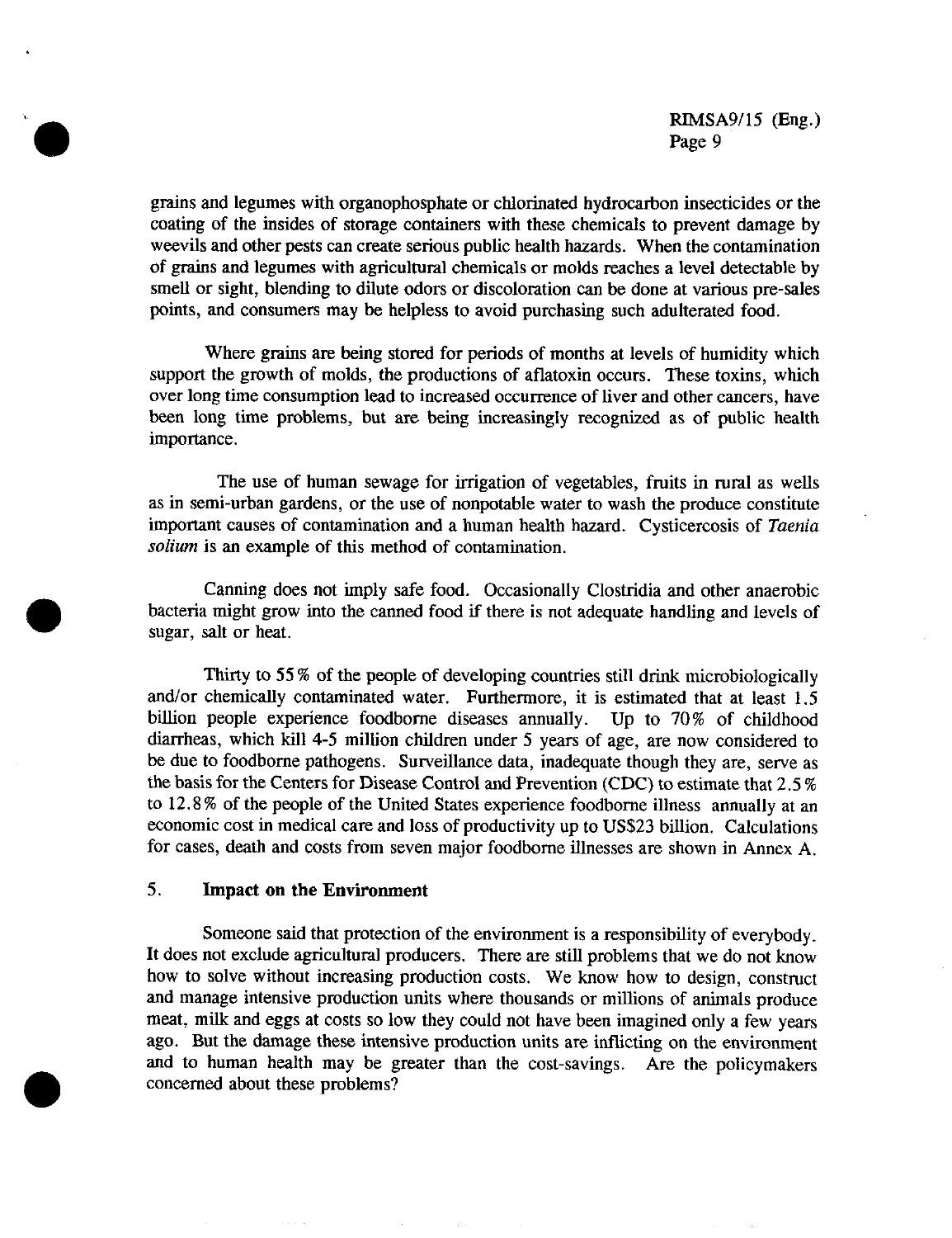grains and legumes with organophosphate or chlorinated hydrocarbon insecticides or the coating of the insides of storage containers with these chemicals to prevent damage by weevils and other pests can create serious public health hazards. When the contamination of grains and legumes with agricultural chemicals or molds reaches a level detectable by smell or sight, blending to dilute odors or discoloration can be done at various pre-sales points, and consumers may be helpless to avoid purchasing such adulterated food.

Where grains are being stored for periods of months at levels of humidity which support the growth of molds, the productions of aflatoxin occurs. These toxins, which over long time consumption lead to increased occurrence of liver and other cancers, have been long time problems, but are being increasingly recognized as of public health importance.

The use of human sewage for irrigation of vegetables, fruits in rural as wells as in semi-urban gardens, or the use of nonpotable water to wash the produce constitute important causes of contamination and a human health hazard. Cysticercosis of *Taenia solium* is an example of this method of contamination.

Canning does not imply safe food. Occasionally Clostridia and other anaerobic bacteria might grow into the canned food if there is not adequate handling and levels of sugar, salt or heat.

Thirty to 55 % of the people of developing countries still drink microbiologically and/or chemically contaminated water. Furthermore, it is estimated that at least 1.5 billion people experience foodborne diseases annually. Up to 70% of childhood diarrheas, which kill 4-5 million children under 5 years of age, are now considered to be due to foodborne pathogens. Surveillance data, inadequate though they are, serve as the basis for the Centers for Disease Control and Prevention (CDC) to estimate that 2.5 % to 12.8 % of the people of the United States experience foodborne illness annually at an economic cost in medical care and loss of productivity up to US\$23 billion. Calculations for cases, death and costs from seven major foodborne illnesses are shown in Annex A.

#### 5. **Impact on the Environment**

Someone said that protection of the environment is a responsibility of everybody. It does not exclude agricultural producers. There are still problems that we do not know how to solve without increasing production costs. We know how to design, construct and manage intensive production units where thousands or millions of animals produce meat, milk and eggs at costs so low they could not have been imagined only a few years ago. But the damage these intensive production units are inflicting on the environment and to human health may be greater than the cost-savings. Are the policymakers concerned about these problems?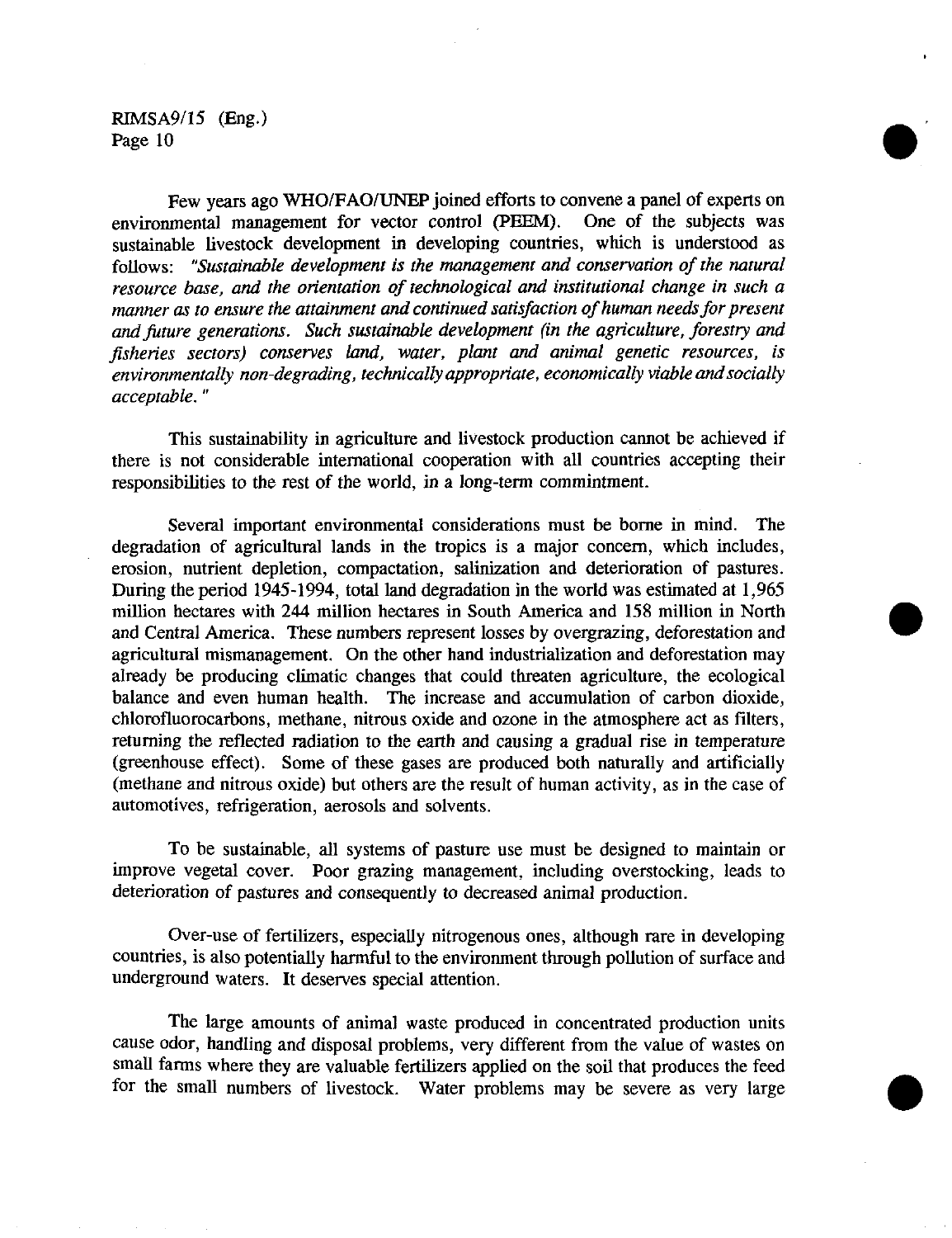Few years ago WHO/FAO/UNEP joined efforts to convene a panel of experts on environmental management for vector control (PEEM). One of the subjects was sustainable livestock development in developing countries, which is understood as follows: *"Sustainable development is the management and conservation of the natural resource base, and the orientation of technological and institutional change in such a manner as to ensure the attainment and continued satisfaction of human needs for present and future generations. Such sustainable development (in the agriculture, forestry and fisheries sectors) conserves land, water, plant and animal genetic resources, is environmentally non-degrading, technically appropriate, economically viable and socially acceptable."*

This sustainability in agriculture and livestock production cannot be achieved if there is not considerable international cooperation with all countries accepting their responsibilities to the rest of the world, in a long-term commintment.

Several important environmental considerations must be borne in mind. The degradation of agricultural lands in the tropics is a major concern, which includes, erosion, nutrient depletion, compactation, salinization and deterioration of pastures. During the period 1945-1994, total land degradation in the world was estimated at 1,965 million hectares with 244 million hectares in South America and 158 million in North and Central America. These numbers represent losses by overgrazing, deforestation and agricultural mismanagement. On the other hand industrialization and deforestation may already be producing climatic changes that could threaten agriculture, the ecological balance and even human health. The increase and accumulation of carbon dioxide, chlorofluorocarbons, methane, nitrous oxide and ozone in the atmosphere act as filters, returning the reflected radiation to the earth and causing a gradual rise in temperature (greenhouse effect). Some of these gases are produced both naturally and artificially (methane and nitrous oxide) but others are the result of human activity, as in the case of automotives, refrigeration, aerosols and solvents.

To be sustainable, all systems of pasture use must be designed to maintain or improve vegetal cover. Poor grazing management, including overstocking, leads to deterioration of pastures and consequently to decreased animal production.

Over-use of fertilizers, especially nitrogenous ones, although rare in developing countries, is also potentially harmful to the environment through pollution of surface and underground waters. It deserves special attention.

The large amounts of animal waste produced in concentrated production units cause odor, handling and disposal problems, very different from the value of wastes on small farms where they are valuable fertilizers applied on the soil that produces the feed for the small numbers of livestock. Water problems may be severe as very large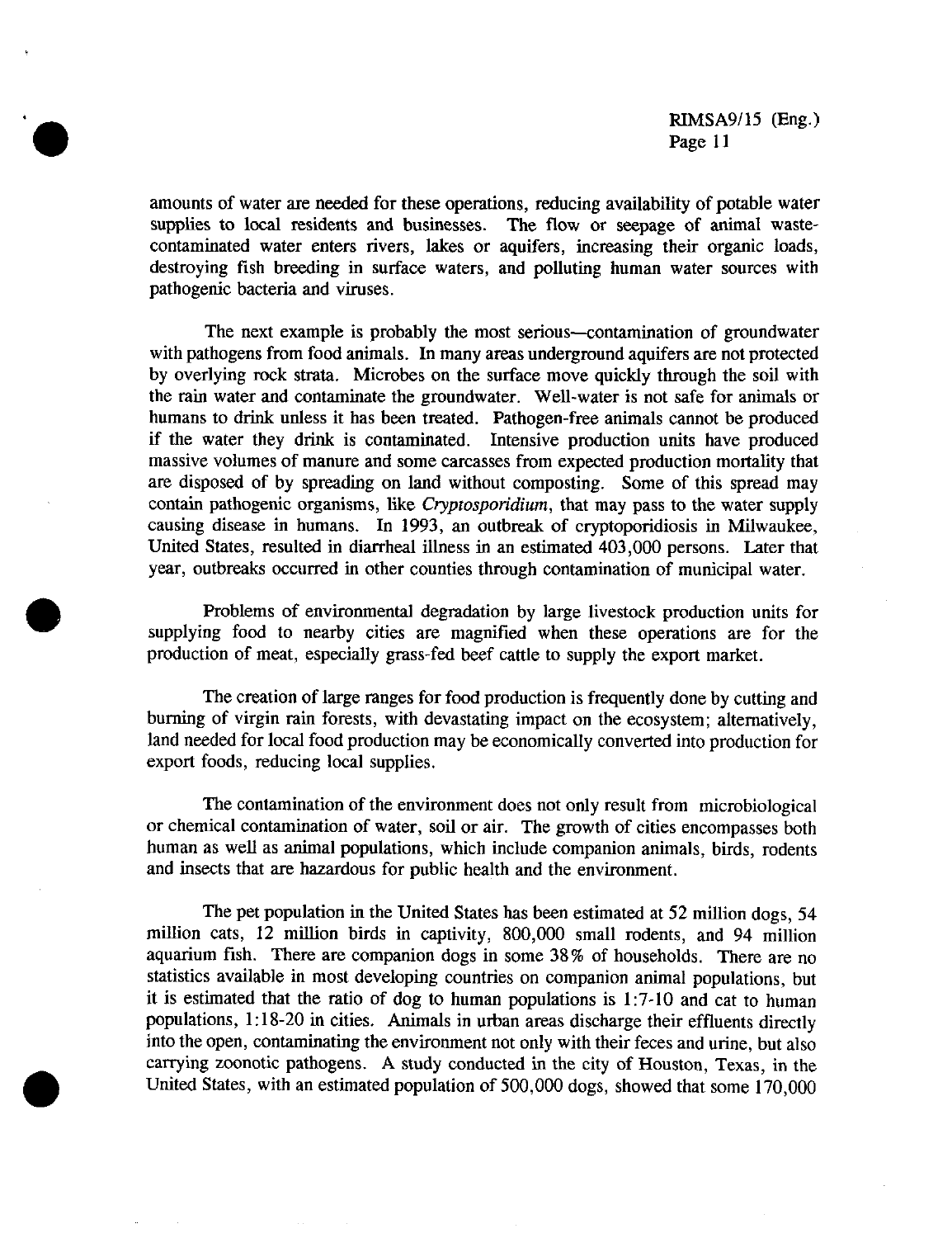amounts of water are needed for these operations, reducing availability of potable water supplies to local residents and businesses. The flow or seepage of animal wastecontaminated water enters rivers, lakes or aquifers, increasing their organic loads, destroying fish breeding in surface waters, and polluting human water sources with pathogenic bacteria and viruses.

The next example is probably the most serious-contamination of groundwater with pathogens from food animals. In many areas underground aquifers are not protected by overlying rock strata. Microbes on the surface move quickly through the soil with the rain water and contaminate the groundwater. Well-water is not safe for animals or humans to drink unless it has been treated. Pathogen-free animals cannot be produced if the water they drink is contaminated. Intensive production units have produced massive volumes of manure and some carcasses from expected production mortality that are disposed of by spreading on land without composting. Some of this spread may contain pathogenic organisms, like *Cryptosporidium,* that may pass to the water supply causing disease in humans. In 1993, an outbreak of cryptoporidiosis in Milwaukee, United States, resulted in diarrheal illness in an estimated 403,000 persons. Later that year, outbreaks occurred in other counties through contamination of municipal water.

Problems of environmental degradation by large livestock production units for supplying food to nearby cities are magnified when these operations are for the production of meat, especially grass-fed beef cattle to supply the export market.

The creation of large ranges for food production is frequently done by cutting and burning of virgin rain forests, with devastating impact on the ecosystem; alternatively, land needed for local food production may be economically converted into production for export foods, reducing local supplies.

The contamination of the environment does not only result from microbiological or chemical contamination of water, soil or air. The growth of cities encompasses both human as well as animal populations, which include companion animals, birds, rodents and insects that are hazardous for public health and the environment.

The pet population in the United States has been estimated at 52 million dogs, 54 million cats, 12 million birds in captivity, 800,000 small rodents, and 94 million aquarium fish. There are companion dogs in some 38% of households. There are no statistics available in most developing countries on companion animal populations, but it is estimated that the ratio of dog to human populations is 1:7-10 and cat to human populations, 1:18-20 in cities. Animals in urban areas discharge their effluents directly into the open, contaminating the environment not only with their feces and urine, but also carrying zoonotic pathogens. A study conducted in the city of Houston, Texas, in the United States, with an estimated population of 500,000 dogs, showed that some 170,000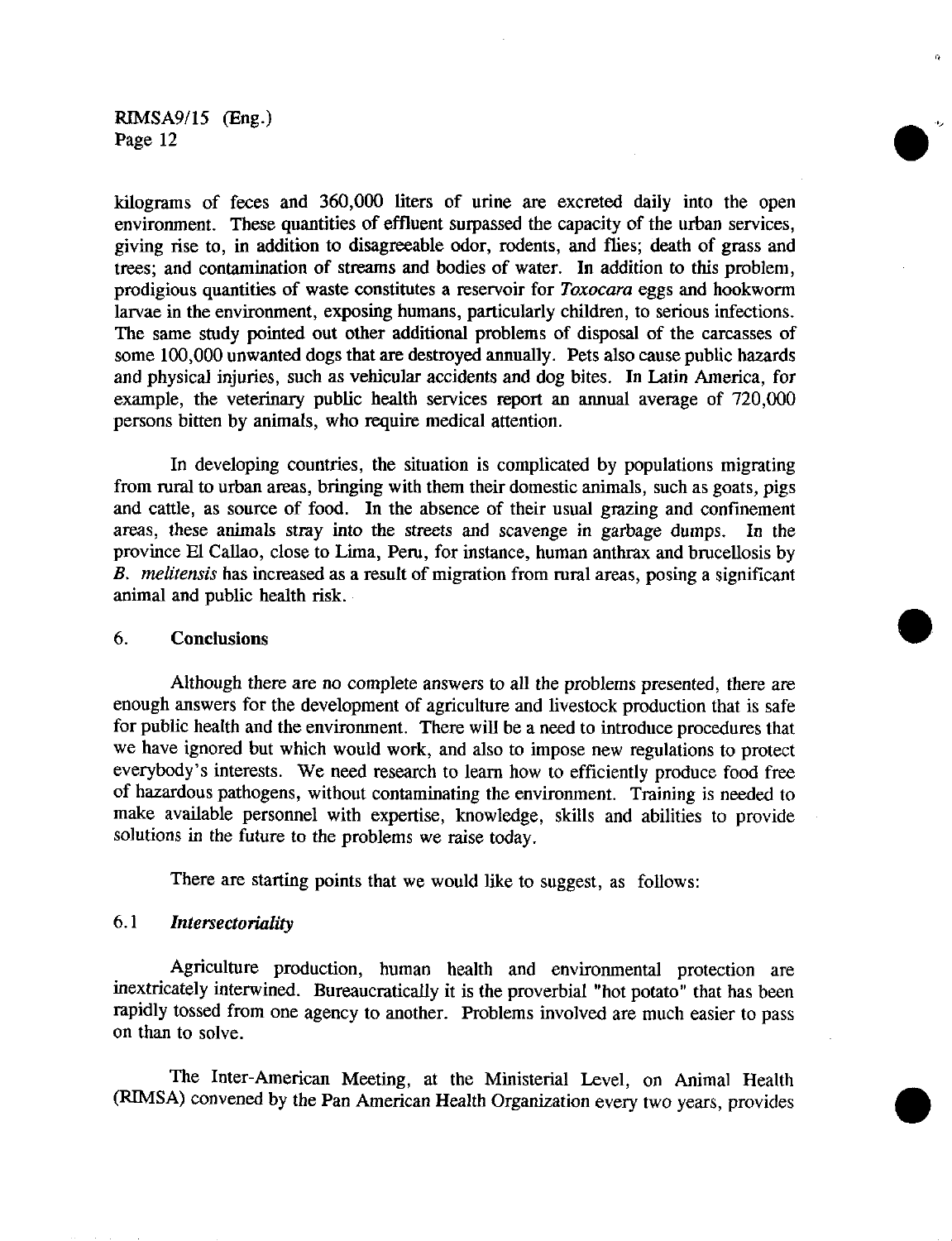kilograms of feces and 360,000 liters of urine are excreted daily into the open environment. These quantities of effluent surpassed the capacity of the urban services, giving rise to, in addition to disagreeable odor, rodents, and flies; death of grass and trees; and contamination of streams and bodies of water. In addition to this problem, prodigious quantities of waste constitutes a reservoir for *Toxocara* eggs and hookworm larvae in the environment, exposing humans, particularly children, to serious infections. The same study pointed out other additional problems of disposal of the carcasses of some 100,000 unwanted dogs that are destroyed annually. Pets also cause public hazards and physical injuries, such as vehicular accidents and dog bites. In Latin America, for example, the veterinary public health services report an annual average of 720,000 persons bitten by animals, who require medical attention.

In developing countries, the situation is complicated by populations migrating from rural to urban areas, bringing with them their domestic animals, such as goats, pigs and cattle, as source of food. In the absence of their usual grazing and confinement areas, these animals stray into the streets and scavenge in garbage dumps. In the province El Callao, close to Lima, Peru, for instance, human anthrax and brucellosis by *B. melitensis* has increased as a result of migration from rural areas, posing a significant animal and public health risk.

### **6. Conclusions Only 1986 Only 1986 Only 1986 Only 1986 Only 1986 Only 1986 Only 1986 Only 1986 Only 1986**

Although there are no complete answers to all the problems presented, there are enough answers for the development of agriculture and livestock production that is safe for public health and the environment. There will be a need to introduce procedures that we have ignored but which would work, and also to impose new regulations to protect everybody's interests. We need research to learn how to efficiently produce food free of hazardous pathogens, without contaminating the environment. Training is needed to make available personnel with expertise, knowledge, skills and abilities to provide solutions in the future to the problems we raise today.

There are starting points that we would like to suggest, as follows:

#### 6.1 *Intersectoriality*

Agriculture production, human health and environmental protection are inextricately interwined. Bureaucratically it is the proverbial "hot potato" that has been rapidly tossed from one agency to another. Problems involved are much easier to pass on than to solve.

The Inter-American Meeting, at the Ministerial Level, on Animal Health (RIMSA) convened by the Pan American Health Organization every two years, provides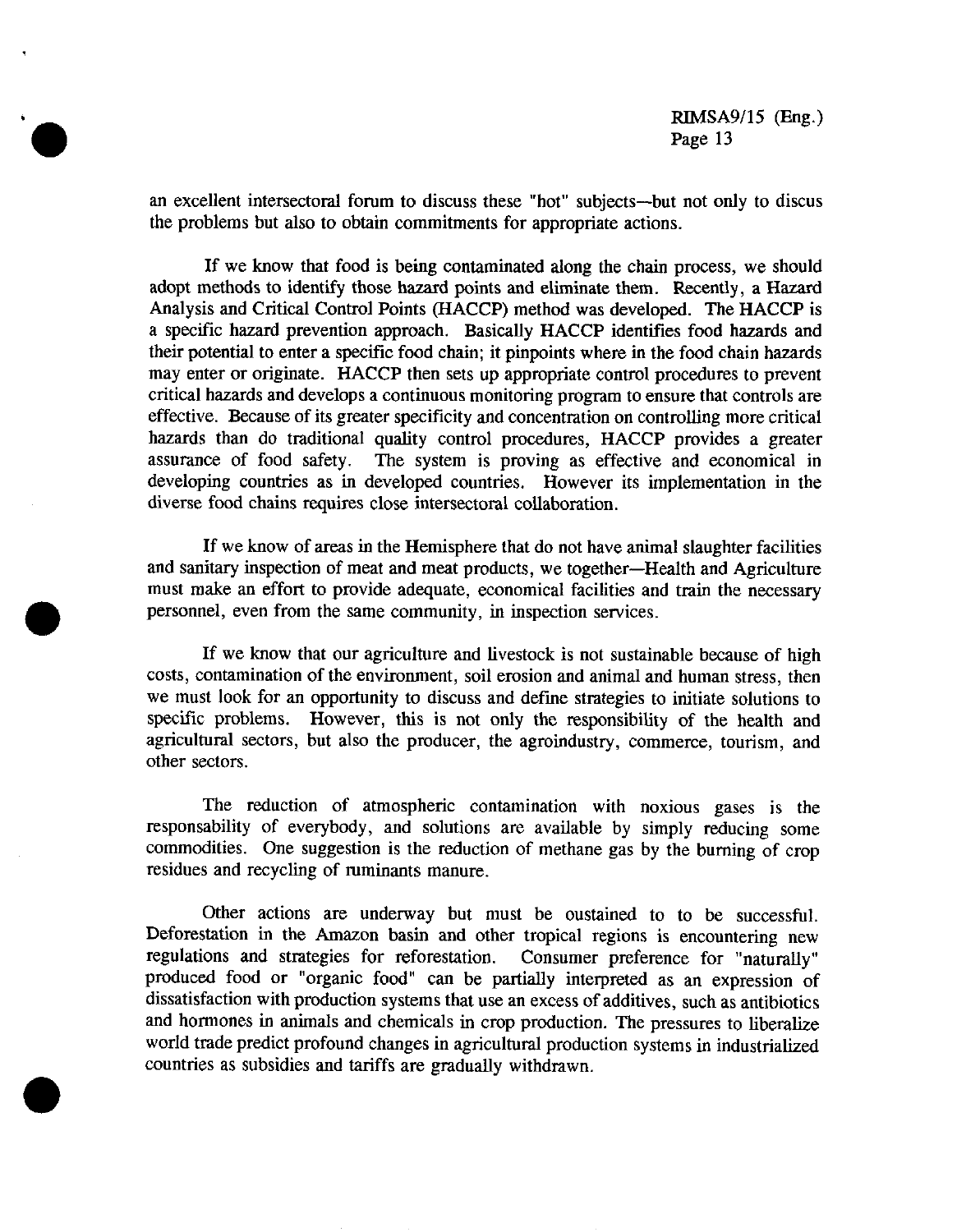an excellent intersectoral forum to discuss these "hot" subjects-but not only to discus the problems but also to obtain commitments for appropriate actions.

If we know that food is being contaminated along the chain process, we should adopt methods to identify those hazard points and eliminate them. Recently, a Hazard Analysis and Critical Control Points (HACCP) method was developed. The HACCP is a specific hazard prevention approach. Basically HACCP identifies food hazards and their potential to enter a specific food chain; it pinpoints where in the food chain hazards may enter or originate. HACCP then sets up appropriate control procedures to prevent critical hazards and develops a continuous monitoring program to ensure that controls are effective. Because of its greater specificity and concentration on controlling more critical hazards than do traditional quality control procedures, HACCP provides a greater assurance of food safety. The system is proving as effective and economical in developing countries as in developed countries. However its implementation in the diverse food chains requires close intersectoral collaboration.

If we know of areas in the Hemisphere that do not have animal slaughter facilities and sanitary inspection of meat and meat products, we together-Health and Agriculture must make an effort to provide adequate, economical facilities and train the necessary personnel, even from the same community, in inspection services.

If we know that our agriculture and livestock is not sustainable because of high costs, contamination of the environment, soil erosion and animal and human stress, then we must look for an opportunity to discuss and define strategies to initiate solutions to specific problems. However, this is not only the responsibility of the health and agricultural sectors, but also the producer, the agroindustry, commerce, tourism, and other sectors.

The reduction of atmospheric contamination with noxious gases is the responsability of everybody, and solutions are available by simply reducing some commodities. One suggestion is the reduction of methane gas by the burning of crop residues and recycling of ruminants manure.

Other actions are underway but must be oustained to to be successful. Deforestation in the Amazon basin and other tropical regions is encountering new regulations and strategies for reforestation. Consumer preference for "naturally" produced food or "organic food" can be partially interpreted as an expression of dissatisfaction with production systems that use an excess of additives, such as antibiotics and hormones in animals and chemicals in crop production. The pressures to liberalize world trade predict profound changes in agricultural production systems in industrialized countries as subsidies and tariffs are gradually withdrawn.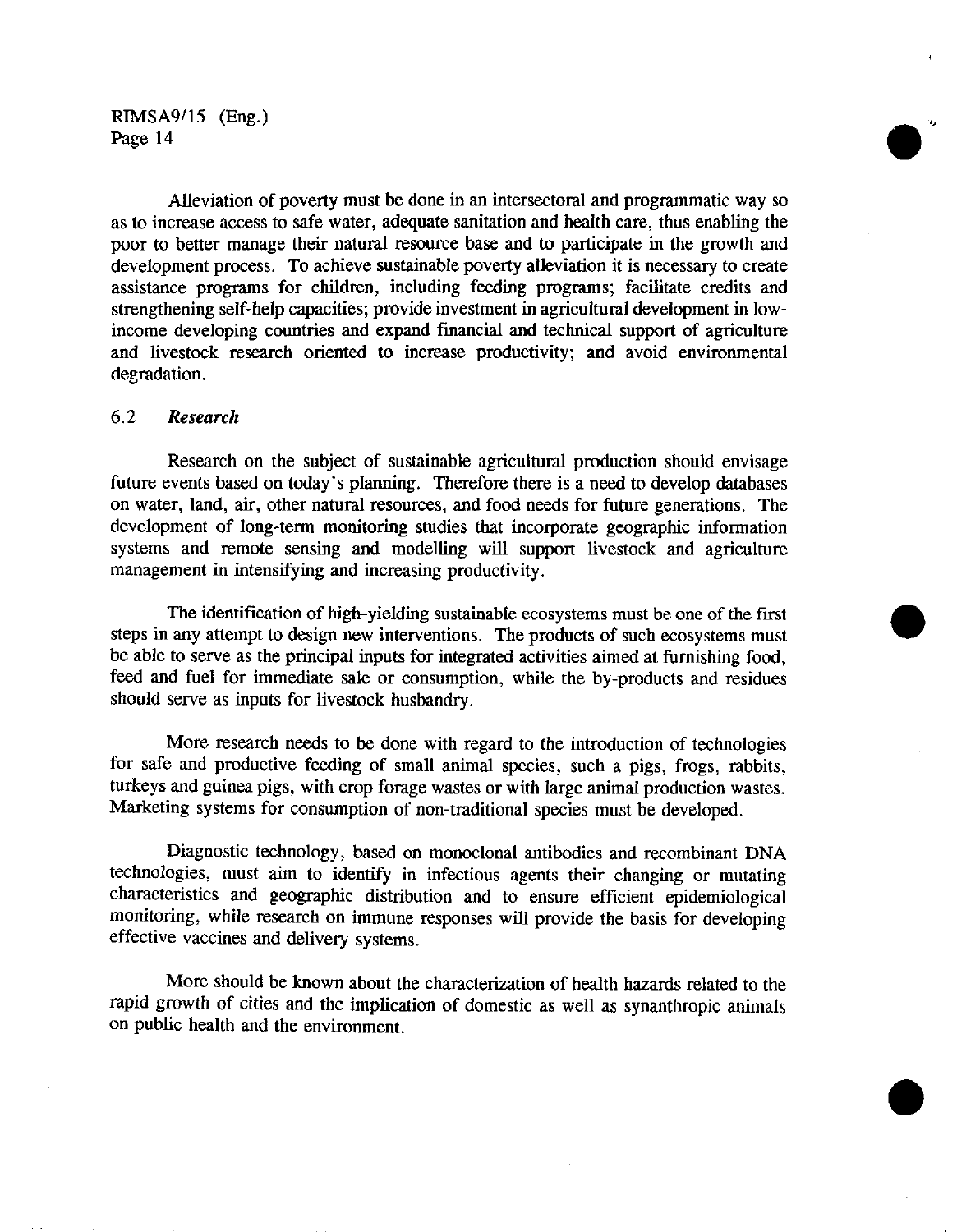Alleviation of poverty must be done in an intersectoral and programmatic way so as to increase access to safe water, adequate sanitation and health care, thus enabling the poor to better manage their natural resource base and to participate in the growth and development process. To achieve sustainable poverty alleviation it is necessary to create assistance programs for children, including feeding programs; facilitate credits and strengthening self-help capacities; provide investment in agricultural development in lowincome developing countries and expand financial and technical support of agriculture and livestock research oriented to increase productivity; and avoid environmental degradation.

#### 6.2 *Research*

Research on the subject of sustainable agricultural production should envisage future events based on today's planning. Therefore there is a need to develop databases on water, land, air, other natural resources, and food needs for future generations. The development of long-term monitoring studies that incorporate geographic information systems and remote sensing and modelling will support livestock and agriculture management in intensifying and increasing productivity.

The identification of high-yielding sustainable ecosystems must be one of the first steps in any attempt to design new interventions. The products of such ecosystems must be able to serve as the principal inputs for integrated activities aimed at furnishing food, feed and fuel for immediate sale or consumption, while the by-products and residues should serve as inputs for livestock husbandry.

More research needs to be done with regard to the introduction of technologies for safe and productive feeding of small animal species, such a pigs, frogs, rabbits, turkeys and guinea pigs, with crop forage wastes or with large animal production wastes. Marketing systems for consumption of non-traditional species must be developed.

Diagnostic technology, based on monoclonal antibodies and recombinant DNA technologies, must aim to identify in infectious agents their changing or mutating characteristics and geographic distribution and to ensure efficient epidemiological monitoring, while research on immune responses will provide the basis for developing effective vaccines and delivery systems.

More should be known about the characterization of health hazards related to the rapid growth of cities and the implication of domestic as well as synanthropic animals on public health and the environment.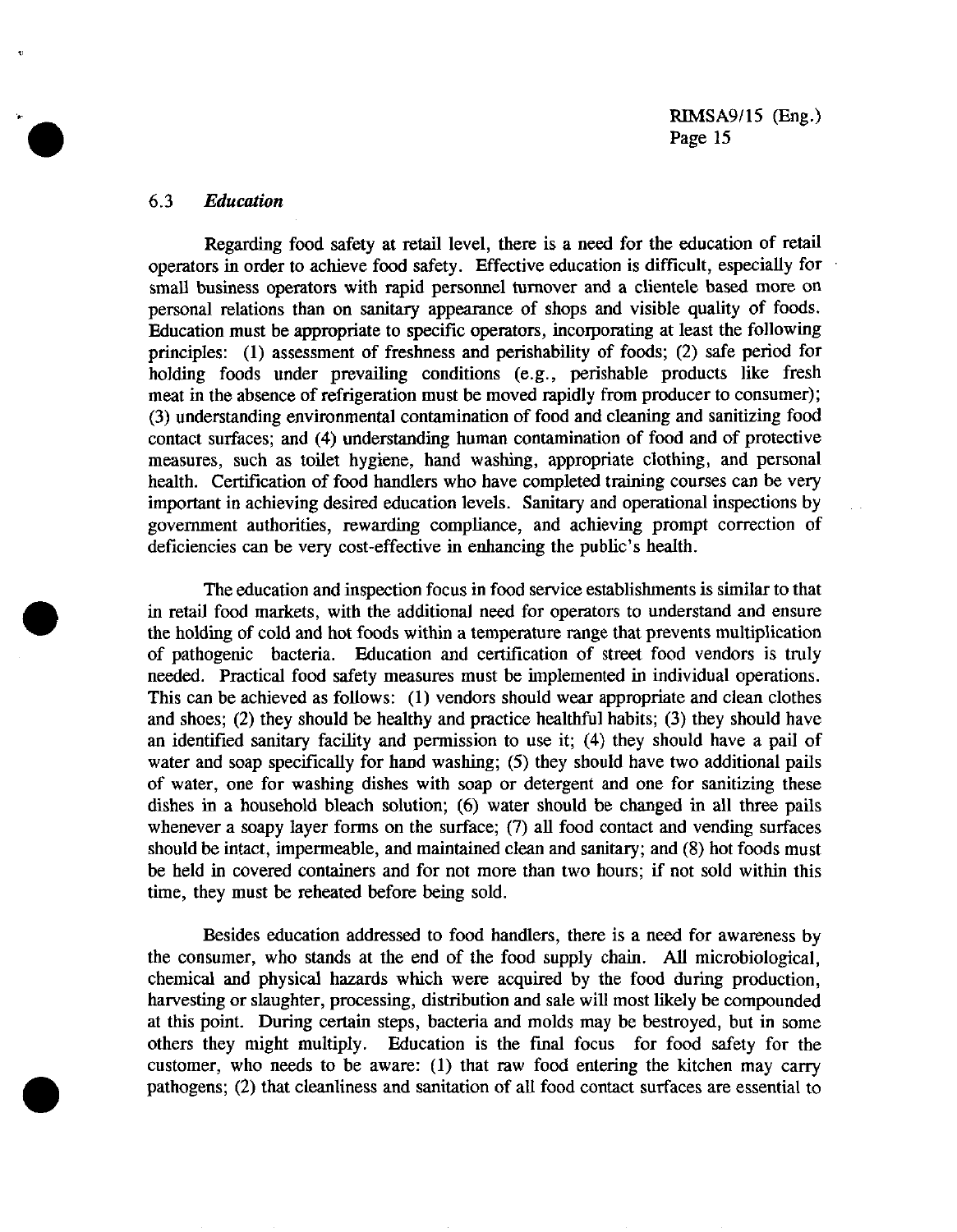#### 6.3 *Education*

 $\ddot{\mathbf{v}}$ 

Regarding food safety at retail level, there is a need for the education of retail operators in order to achieve food safety. Effective education is difficult, especially for small business operators with rapid personnel turnover and a clientele based more on personal relations than on sanitary appearance of shops and visible quality of foods. Education must be appropriate to specific operators, incorporating at least the following principles: (1) assessment of freshness and perishability of foods; (2) safe period for holding foods under prevailing conditions (e.g., perishable products like fresh meat in the absence of refrigeration must be moved rapidly from producer to consumer); (3) understanding environmental contamination of food and cleaning and sanitizing food contact surfaces; and (4) understanding human contamination of food and of protective measures, such as toilet hygiene, hand washing, appropriate clothing, and personal health. Certification of food handlers who have completed training courses can be very important in achieving desired education levels. Sanitary and operational inspections by government authorities, rewarding compliance, and achieving prompt correction of deficiencies can be very cost-effective in enhancing the public's health.

The education and inspection focus in food service establishments is similar to that in retail food markets, with the additional need for operators to understand and ensure the holding of cold and hot foods within a temperature range that prevents multiplication of pathogenic bacteria. Education and certification of street food vendors is truly needed. Practical food safety measures must be implemented in individual operations. This can be achieved as follows: (1) vendors should wear appropriate and clean clothes and shoes; (2) they should be healthy and practice healthful habits; (3) they should have an identified sanitary facility and permission to use it; (4) they should have a pail of water and soap specifically for hand washing; (5) they should have two additional pails of water, one for washing dishes with soap or detergent and one for sanitizing these dishes in a household bleach solution; (6) water should be changed in all three pails whenever a soapy layer forms on the surface; (7) all food contact and vending surfaces should be intact, impermeable, and maintained clean and sanitary; and (8) hot foods must be held in covered containers and for not more than two hours; if not sold within this time, they must be reheated before being sold.

Besides education addressed to food handlers, there is a need for awareness by the consumer, who stands at the end of the food supply chain. All microbiological, chemical and physical hazards which were acquired by the food during production, harvesting or slaughter, processing, distribution and sale will most likely be compounded at this point. During certain steps, bacteria and molds may be bestroyed, but in some others they might multiply. Education is the final focus for food safety for the customer, who needs to be aware: (1) that raw food entering the kitchen may carry pathogens; (2) that cleanliness and sanitation of all food contact surfaces are essential to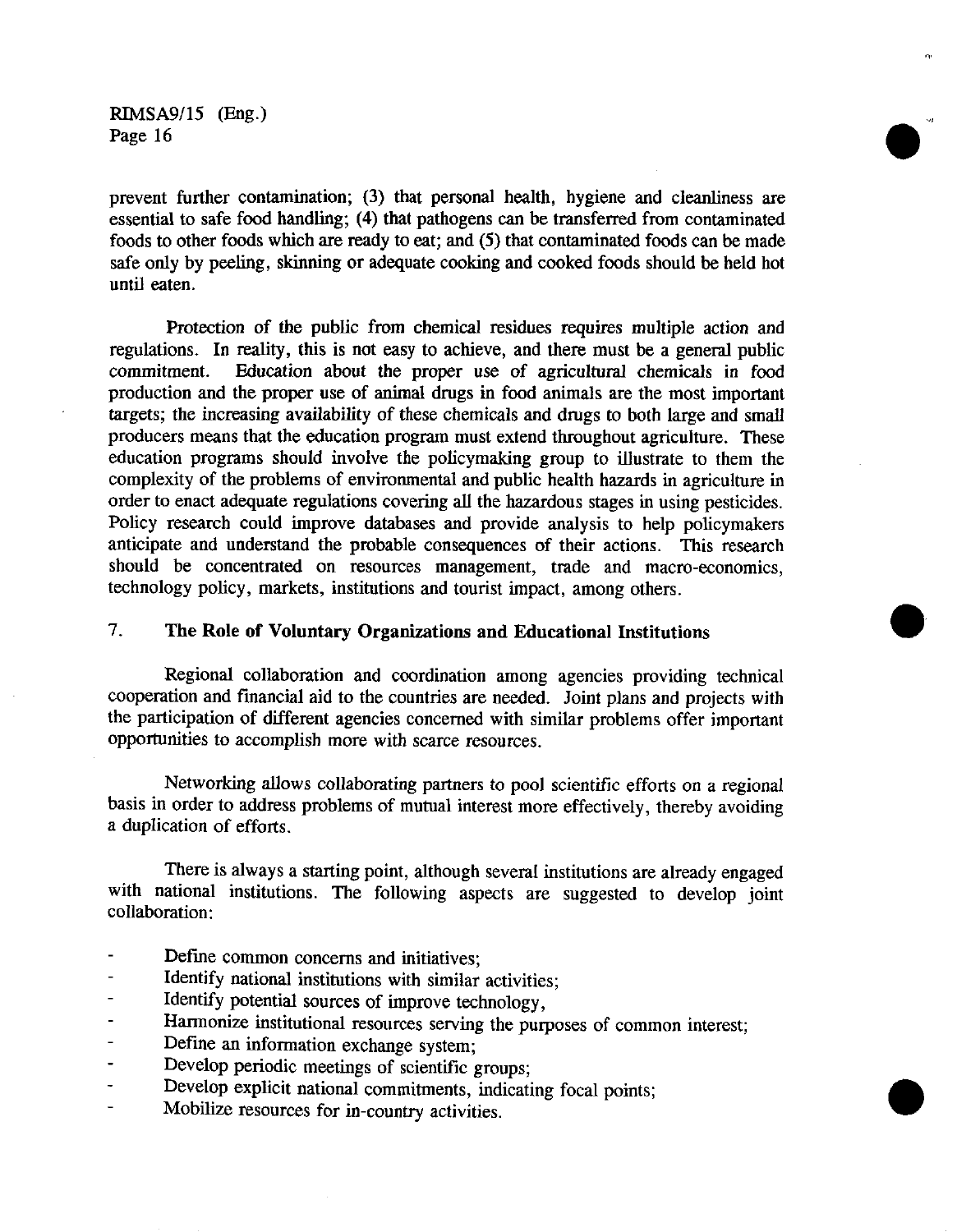prevent further contamination; (3) that personal health, hygiene and cleanliness are essential to safe food handling; (4) that pathogens can be transferred from contaminated foods to other foods which are ready to eat; and (5) that contaminated foods can be made safe only by peeling, skinning or adequate cooking and cooked foods should be held hot until eaten.

Protection of the public from chemical residues requires multiple action and regulations. In reality, this is not easy to achieve, and there must be a general public commitment. Education about the proper use of agricultural chemicals in food production and the proper use of animal drugs in food animals are the most important targets; the increasing availability of these chemicals and drugs to both large and small producers means that the education program must extend throughout agriculture. These education programs should involve the policymaking group to illustrate to them the complexity of the problems of environmental and public health hazards in agriculture in order to enact adequate regulations covering all the hazardous stages in using pesticides. Policy research could improve databases and provide analysis to help policymakers anticipate and understand the probable consequences of their actions. This research should be concentrated on resources management, trade and macro-economics, technology policy, markets, institutions and tourist impact, among others.

## 7. **The Role of Voluntary Organizations and Educational Institutions**

Regional collaboration and coordination among agencies providing technical cooperation and financial aid to the countries are needed. Joint plans and projects with the participation of different agencies concerned with similar problems offer important opportunities to accomplish more with scarce resources.

Networking allows collaborating partners to pool scientific efforts on a regional basis in order to address problems of mutual interest more effectively, thereby avoiding a duplication of efforts.

There is always a starting point, although several institutions are already engaged with national institutions. The following aspects are suggested to develop joint collaboration:

- Define common concerns and initiatives;
- Identify national institutions with similar activities;
- Identify potential sources of improve technology,
- Harmonize institutional resources serving the purposes of common interest;
- Define an information exchange system;
- Develop periodic meetings of scientific groups;
- Develop explicit national commitments, indicating focal points;
- Mobilize resources for in-country activities.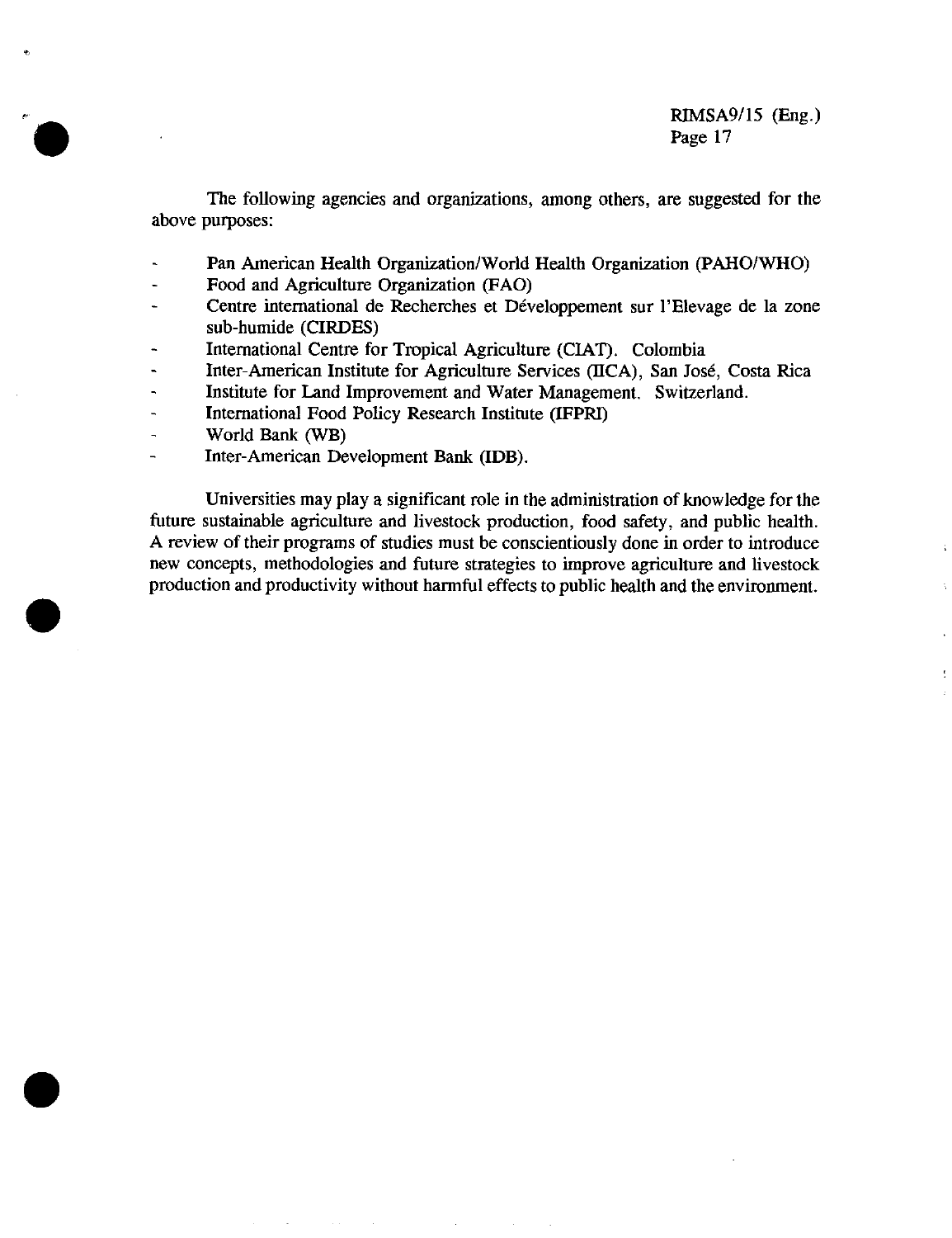t

The following agencies and organizations, among others, are suggested for the above purposes:

- Pan American Health Organization/World Health Organization (PAHO/WHO)
- Food and Agriculture Organization (FAO)
- Centre international de Recherches et Développement sur l'Elevage de la zone sub-humide (CIRDES)
- International Centre for Tropical Agriculture (CIAT). Colombia
- Inter-American Institute for Agriculture Services (IICA), San José, Costa Rica
- Institute for Land Improvement and Water Management. Switzerland.
- International Food Policy Research Institute (IFPRI)
- World Bank (WB)
- Inter-American Development Bank (IDB).

Universities may play a significant role in the administration of knowledge for the future sustainable agriculture and livestock production, food safety, and public health. A review of their programs of studies must be conscientiously done in order to introduce new concepts, methodologies and future strategies to improve agriculture and livestock production and productivity without harmful effects to public health and the environment.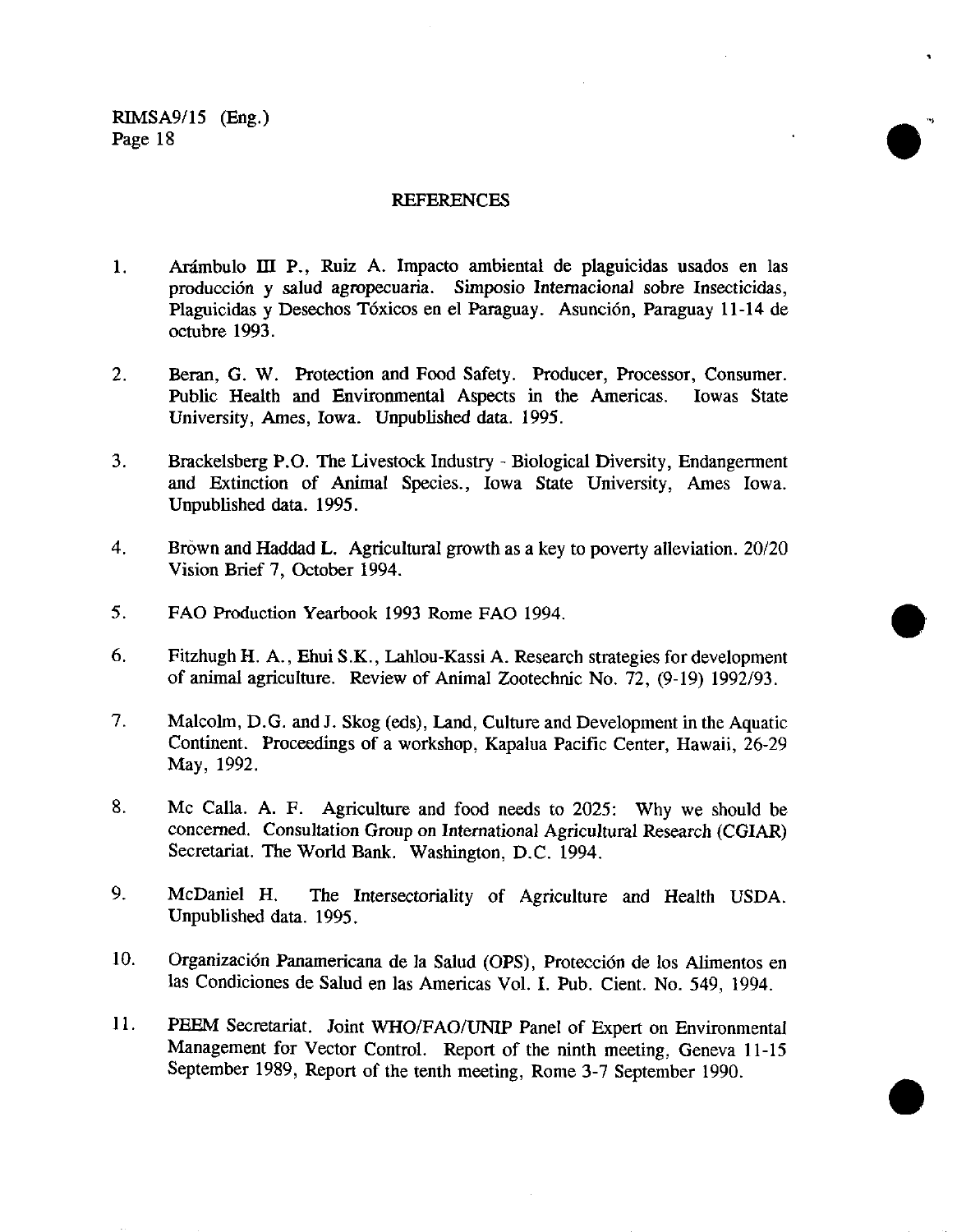#### **REFERENCES**

1

- 1. Arámbulo mI P., Ruiz A. Impacto ambiental de plaguicidas usados en las producción y salud agropecuaria. Simposio Internacional sobre Insecticidas, Plaguicidas y Desechos Tóxicos en el Paraguay. Asunción, Paraguay 11-14 de octubre 1993.
- 2. Beran, G. W. Protection and Food Safety. Producer, Processor, Consumer. Public Health and Environmental Aspects in the Americas. Iowas State University, Ames, Iowa. Unpublished data. 1995.
- 3. Brackelsberg P.O. The Livestock Industry Biological Diversity, Endangerment and Extinction of Animal Species., Iowa State University, Ames Iowa. Unpublished data. 1995.
- 4. Brown and Haddad L. Agricultural growth as a key to poverty alleviation. 20/20 Vision Brief 7, October 1994.
- *5.* FAO Production Yearbook 1993 Rome FAO 1994.
- 6. Fitzhugh H. A., Ehui S.K., Lahlou-Kassi A. Research strategies for development of animal agriculture. Review of Animal Zootechnic No. 72, (9-19) 1992/93.
- 7. Malcolm, D.G. and J. Skog (eds), Land, Culture and Development in the Aquatic Continent. Proceedings of a workshop, Kapalua Pacific Center, Hawaii, 26-29 May, 1992.
- 8. Mc Calla. A. F. Agriculture and food needs to 2025: Why we should be concerned. Consultation Group on International Agricultural Research (CGIAR) Secretariat. The World Bank. Washington, D.C. 1994.
- 9. McDaniel H. The Intersectoriality of Agriculture and Health USDA. Unpublished data. 1995.
- 10. Organización Panamericana de la Salud (OPS), Protección de los Alimentos en las Condiciones de Salud en las Americas Vol. I. Pub. Cient. No. 549, 1994.
- 11. PEEM Secretariat. Joint WHO/FAO/UNIP Panel of Expert on Environmental Management for Vector Control. Report of the ninth meeting, Geneva 11-15 September 1989, Report of the tenth meeting, Rome 3-7 September 1990.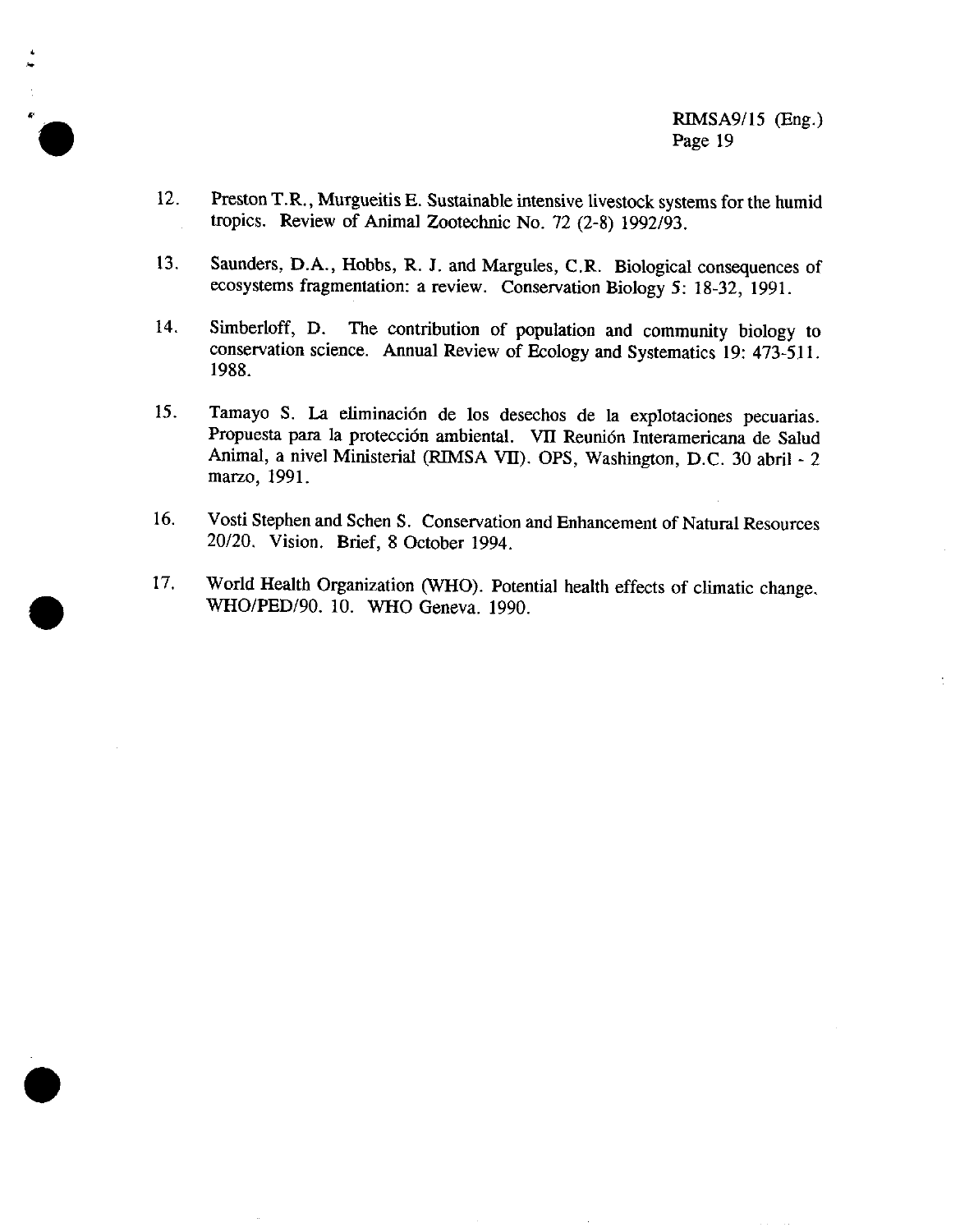- 12. Preston T.R., Murgueitis E. Sustainable intensive livestock systems for the humid tropics. Review of Animal Zootechnic No. 72 (2-8) 1992/93.
- 13. Saunders, D.A., Hobbs, R. J. and Margules, C.R. Biological consequences of ecosystems fragmentation: a review. Conservation Biology 5: 18-32, 1991.
- 14. Simberloff, D. The contribution of population and community biology to conservation science. Annual Review of Ecology and Systematics 19: 473-511. 1988.
- 15. Tamayo S. La eliminación de los desechos de la explotaciones pecuarias. Propuesta para la protección ambiental. VII Reunión Interamericana de Salud Animal, a nivel Ministerial (RIMSA VII). OPS, Washington, D.C. 30 abril - 2 marzo, 1991.
- 16. Vosti Stephen and Schen S. Conservation and Enhancement of Natural Resources 20/20. Vision. Brief, 8 October 1994.
- 17. World Health Organization (WHO). Potential health effects of climatic change. WHO/PED/90. 10. WHO Geneva. 1990.